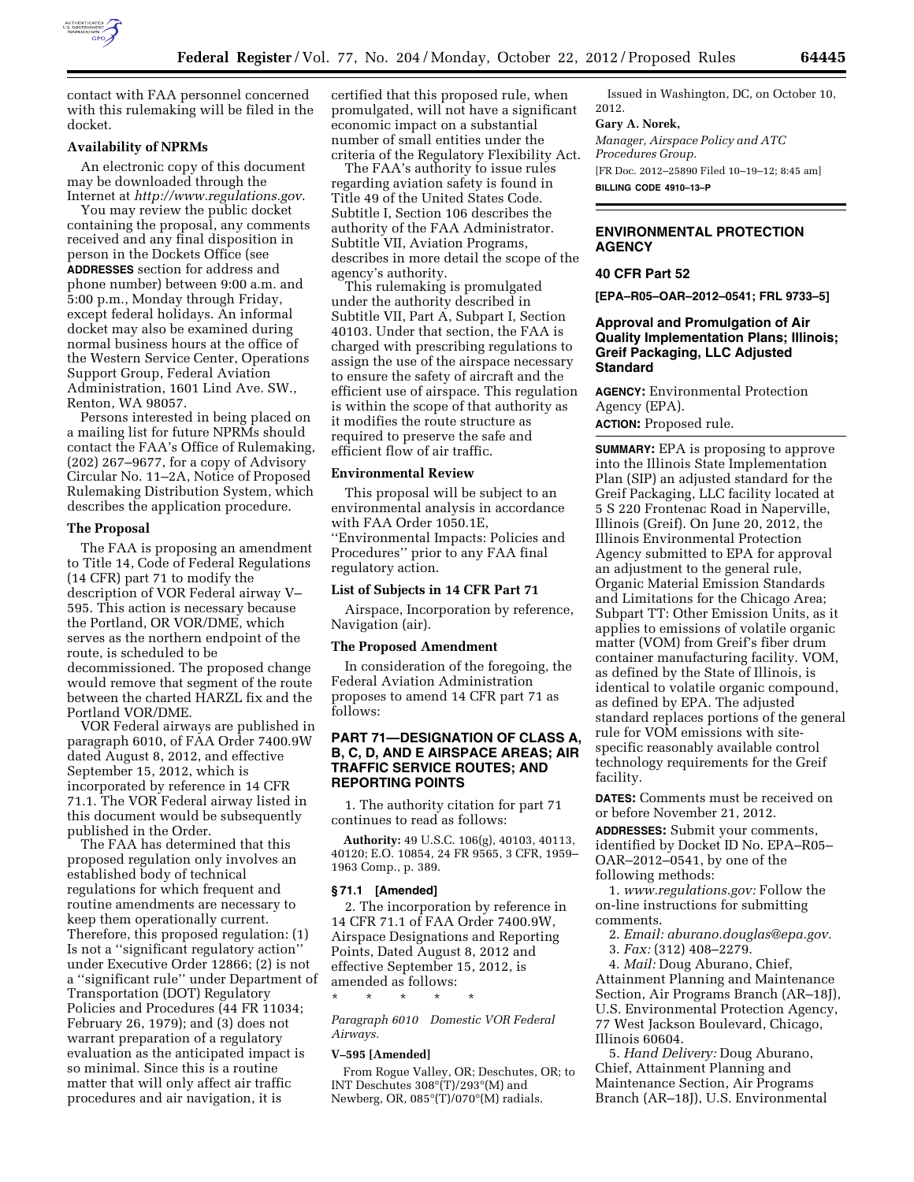

contact with FAA personnel concerned with this rulemaking will be filed in the docket.

# **Availability of NPRMs**

An electronic copy of this document may be downloaded through the Internet at *<http://www.regulations.gov>*.

You may review the public docket containing the proposal, any comments received and any final disposition in person in the Dockets Office (see **ADDRESSES** section for address and phone number) between 9:00 a.m. and 5:00 p.m., Monday through Friday, except federal holidays. An informal docket may also be examined during normal business hours at the office of the Western Service Center, Operations Support Group, Federal Aviation Administration, 1601 Lind Ave. SW., Renton, WA 98057.

Persons interested in being placed on a mailing list for future NPRMs should contact the FAA's Office of Rulemaking, (202) 267–9677, for a copy of Advisory Circular No. 11–2A, Notice of Proposed Rulemaking Distribution System, which describes the application procedure.

#### **The Proposal**

The FAA is proposing an amendment to Title 14, Code of Federal Regulations (14 CFR) part 71 to modify the description of VOR Federal airway V– 595. This action is necessary because the Portland, OR VOR/DME, which serves as the northern endpoint of the route, is scheduled to be decommissioned. The proposed change would remove that segment of the route between the charted HARZL fix and the Portland VOR/DME.

VOR Federal airways are published in paragraph 6010, of FAA Order 7400.9W dated August 8, 2012, and effective September 15, 2012, which is incorporated by reference in 14 CFR 71.1. The VOR Federal airway listed in this document would be subsequently published in the Order.

The FAA has determined that this proposed regulation only involves an established body of technical regulations for which frequent and routine amendments are necessary to keep them operationally current. Therefore, this proposed regulation: (1) Is not a ''significant regulatory action'' under Executive Order 12866; (2) is not a ''significant rule'' under Department of Transportation (DOT) Regulatory Policies and Procedures (44 FR 11034; February 26, 1979); and (3) does not warrant preparation of a regulatory evaluation as the anticipated impact is so minimal. Since this is a routine matter that will only affect air traffic procedures and air navigation, it is

certified that this proposed rule, when promulgated, will not have a significant economic impact on a substantial number of small entities under the criteria of the Regulatory Flexibility Act.

The FAA's authority to issue rules regarding aviation safety is found in Title 49 of the United States Code. Subtitle I, Section 106 describes the authority of the FAA Administrator. Subtitle VII, Aviation Programs, describes in more detail the scope of the agency's authority.

This rulemaking is promulgated under the authority described in Subtitle VII, Part A, Subpart I, Section 40103. Under that section, the FAA is charged with prescribing regulations to assign the use of the airspace necessary to ensure the safety of aircraft and the efficient use of airspace. This regulation is within the scope of that authority as it modifies the route structure as required to preserve the safe and efficient flow of air traffic.

## **Environmental Review**

This proposal will be subject to an environmental analysis in accordance with FAA Order 1050.1E, ''Environmental Impacts: Policies and Procedures'' prior to any FAA final regulatory action.

## **List of Subjects in 14 CFR Part 71**

Airspace, Incorporation by reference, Navigation (air).

## **The Proposed Amendment**

In consideration of the foregoing, the Federal Aviation Administration proposes to amend 14 CFR part 71 as follows:

## **PART 71—DESIGNATION OF CLASS A, B, C, D, AND E AIRSPACE AREAS; AIR TRAFFIC SERVICE ROUTES; AND REPORTING POINTS**

1. The authority citation for part 71 continues to read as follows:

**Authority:** 49 U.S.C. 106(g), 40103, 40113, 40120; E.O. 10854, 24 FR 9565, 3 CFR, 1959– 1963 Comp., p. 389.

#### **§ 71.1 [Amended]**

2. The incorporation by reference in 14 CFR 71.1 of FAA Order 7400.9W, Airspace Designations and Reporting Points, Dated August 8, 2012 and effective September 15, 2012, is amended as follows:

*Paragraph 6010 Domestic VOR Federal Airways.* 

#### **V–595 [Amended]**

\* \* \* \* \*

From Rogue Valley, OR; Deschutes, OR; to INT Deschutes 308°(T)/293°(M) and Newberg, OR, 085°(T)/070°(M) radials.

Issued in Washington, DC, on October 10, 2012.

#### **Gary A. Norek,**

*Manager, Airspace Policy and ATC Procedures Group.*  [FR Doc. 2012–25890 Filed 10–19–12; 8:45 am] **BILLING CODE 4910–13–P** 

# **ENVIRONMENTAL PROTECTION AGENCY**

## **40 CFR Part 52**

**[EPA–R05–OAR–2012–0541; FRL 9733–5]** 

# **Approval and Promulgation of Air Quality Implementation Plans; Illinois; Greif Packaging, LLC Adjusted Standard**

**AGENCY:** Environmental Protection Agency (EPA).

**ACTION:** Proposed rule.

**SUMMARY:** EPA is proposing to approve into the Illinois State Implementation Plan (SIP) an adjusted standard for the Greif Packaging, LLC facility located at 5 S 220 Frontenac Road in Naperville, Illinois (Greif). On June 20, 2012, the Illinois Environmental Protection Agency submitted to EPA for approval an adjustment to the general rule, Organic Material Emission Standards and Limitations for the Chicago Area; Subpart TT: Other Emission Units, as it applies to emissions of volatile organic matter (VOM) from Greif's fiber drum container manufacturing facility. VOM, as defined by the State of Illinois, is identical to volatile organic compound, as defined by EPA. The adjusted standard replaces portions of the general rule for VOM emissions with sitespecific reasonably available control technology requirements for the Greif facility.

**DATES:** Comments must be received on or before November 21, 2012.

**ADDRESSES:** Submit your comments, identified by Docket ID No. EPA–R05– OAR–2012–0541, by one of the following methods:

1. *[www.regulations.gov:](http://www.regulations.gov)* Follow the on-line instructions for submitting comments.

2. *Email: [aburano.douglas@epa.gov.](mailto:aburano.douglas@epa.gov)* 

3. *Fax:* (312) 408–2279.

4. *Mail:* Doug Aburano, Chief, Attainment Planning and Maintenance Section, Air Programs Branch (AR–18J), U.S. Environmental Protection Agency, 77 West Jackson Boulevard, Chicago, Illinois 60604.

5. *Hand Delivery:* Doug Aburano, Chief, Attainment Planning and Maintenance Section, Air Programs Branch (AR–18J), U.S. Environmental